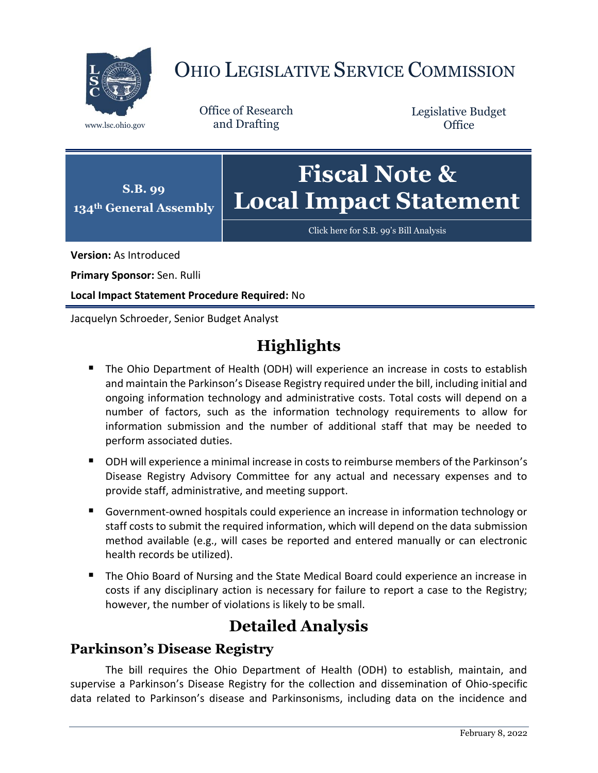

# OHIO LEGISLATIVE SERVICE COMMISSION

Office of Research www.lsc.ohio.gov and Drafting

Legislative Budget **Office** 



[Click here for S.B. 99](https://www.legislature.ohio.gov/legislation/legislation-documents?id=GA134-SB-99)'s Bill Analysis

**Version:** As Introduced

**Primary Sponsor:** Sen. Rulli

**Local Impact Statement Procedure Required:** No

Jacquelyn Schroeder, Senior Budget Analyst

# **Highlights**

- The Ohio Department of Health (ODH) will experience an increase in costs to establish and maintain the Parkinson's Disease Registry required under the bill, including initial and ongoing information technology and administrative costs. Total costs will depend on a number of factors, such as the information technology requirements to allow for information submission and the number of additional staff that may be needed to perform associated duties.
- ODH will experience a minimal increase in costs to reimburse members of the Parkinson's Disease Registry Advisory Committee for any actual and necessary expenses and to provide staff, administrative, and meeting support.
- Government-owned hospitals could experience an increase in information technology or staff costs to submit the required information, which will depend on the data submission method available (e.g., will cases be reported and entered manually or can electronic health records be utilized).
- The Ohio Board of Nursing and the State Medical Board could experience an increase in costs if any disciplinary action is necessary for failure to report a case to the Registry; however, the number of violations is likely to be small.

## **Detailed Analysis**

#### **Parkinson's Disease Registry**

The bill requires the Ohio Department of Health (ODH) to establish, maintain, and supervise a Parkinson's Disease Registry for the collection and dissemination of Ohio-specific data related to Parkinson's disease and Parkinsonisms, including data on the incidence and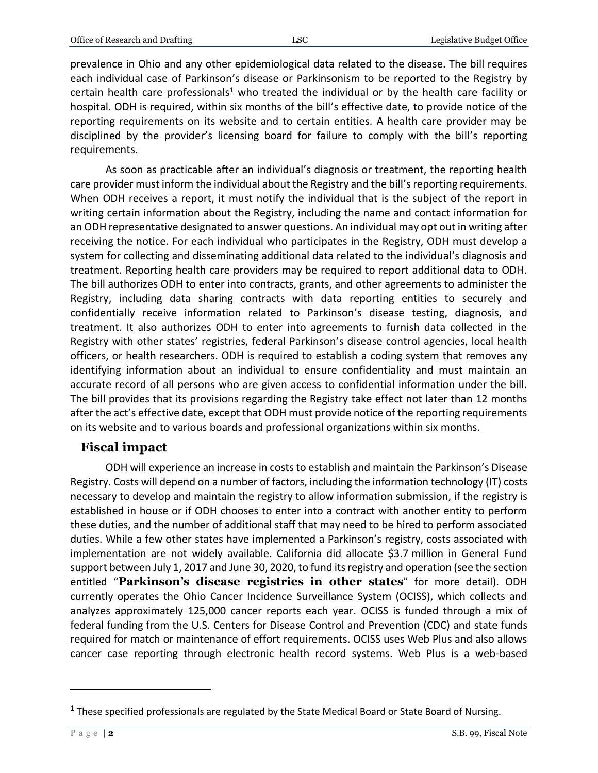prevalence in Ohio and any other epidemiological data related to the disease. The bill requires each individual case of Parkinson's disease or Parkinsonism to be reported to the Registry by certain health care professionals<sup>1</sup> who treated the individual or by the health care facility or hospital. ODH is required, within six months of the bill's effective date, to provide notice of the reporting requirements on its website and to certain entities. A health care provider may be disciplined by the provider's licensing board for failure to comply with the bill's reporting requirements.

As soon as practicable after an individual's diagnosis or treatment, the reporting health care provider must inform the individual about the Registry and the bill's reporting requirements. When ODH receives a report, it must notify the individual that is the subject of the report in writing certain information about the Registry, including the name and contact information for an ODH representative designated to answer questions. An individual may opt out in writing after receiving the notice. For each individual who participates in the Registry, ODH must develop a system for collecting and disseminating additional data related to the individual's diagnosis and treatment. Reporting health care providers may be required to report additional data to ODH. The bill authorizes ODH to enter into contracts, grants, and other agreements to administer the Registry, including data sharing contracts with data reporting entities to securely and confidentially receive information related to Parkinson's disease testing, diagnosis, and treatment. It also authorizes ODH to enter into agreements to furnish data collected in the Registry with other states' registries, federal Parkinson's disease control agencies, local health officers, or health researchers. ODH is required to establish a coding system that removes any identifying information about an individual to ensure confidentiality and must maintain an accurate record of all persons who are given access to confidential information under the bill. The bill provides that its provisions regarding the Registry take effect not later than 12 months after the act's effective date, except that ODH must provide notice of the reporting requirements on its website and to various boards and professional organizations within six months.

#### **Fiscal impact**

ODH will experience an increase in costs to establish and maintain the Parkinson's Disease Registry. Costs will depend on a number of factors, including the information technology (IT) costs necessary to develop and maintain the registry to allow information submission, if the registry is established in house or if ODH chooses to enter into a contract with another entity to perform these duties, and the number of additional staff that may need to be hired to perform associated duties. While a few other states have implemented a Parkinson's registry, costs associated with implementation are not widely available. California did allocate \$3.7 million in General Fund support between July 1, 2017 and June 30, 2020, to fund its registry and operation (see the section entitled "**Parkinson's disease registries in other states**" for more detail). ODH currently operates the Ohio Cancer Incidence Surveillance System (OCISS), which collects and analyzes approximately 125,000 cancer reports each year. OCISS is funded through a mix of federal funding from the U.S. Centers for Disease Control and Prevention (CDC) and state funds required for match or maintenance of effort requirements. OCISS uses Web Plus and also allows cancer case reporting through electronic health record systems. Web Plus is a web-based

 $\overline{a}$ 

<sup>&</sup>lt;sup>1</sup> These specified professionals are regulated by the State Medical Board or State Board of Nursing.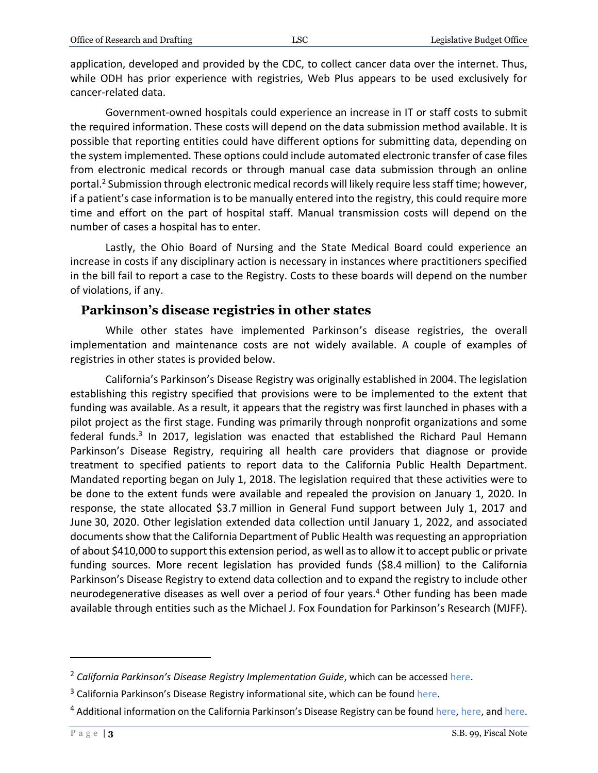application, developed and provided by the CDC, to collect cancer data over the internet. Thus, while ODH has prior experience with registries, Web Plus appears to be used exclusively for cancer-related data.

Government-owned hospitals could experience an increase in IT or staff costs to submit the required information. These costs will depend on the data submission method available. It is possible that reporting entities could have different options for submitting data, depending on the system implemented. These options could include automated electronic transfer of case files from electronic medical records or through manual case data submission through an online portal.<sup>2</sup> Submission through electronic medical records will likely require less staff time; however, if a patient's case information is to be manually entered into the registry, this could require more time and effort on the part of hospital staff. Manual transmission costs will depend on the number of cases a hospital has to enter.

Lastly, the Ohio Board of Nursing and the State Medical Board could experience an increase in costs if any disciplinary action is necessary in instances where practitioners specified in the bill fail to report a case to the Registry. Costs to these boards will depend on the number of violations, if any.

#### **Parkinson's disease registries in other states**

While other states have implemented Parkinson's disease registries, the overall implementation and maintenance costs are not widely available. A couple of examples of registries in other states is provided below.

California's Parkinson's Disease Registry was originally established in 2004. The legislation establishing this registry specified that provisions were to be implemented to the extent that funding was available. As a result, it appears that the registry was first launched in phases with a pilot project as the first stage. Funding was primarily through nonprofit organizations and some federal funds.<sup>3</sup> In 2017, legislation was enacted that established the Richard Paul Hemann Parkinson's Disease Registry, requiring all health care providers that diagnose or provide treatment to specified patients to report data to the California Public Health Department. Mandated reporting began on July 1, 2018. The legislation required that these activities were to be done to the extent funds were available and repealed the provision on January 1, 2020. In response, the state allocated \$3.7 million in General Fund support between July 1, 2017 and June 30, 2020. Other legislation extended data collection until January 1, 2022, and associated documents show that the California Department of Public Health was requesting an appropriation of about \$410,000 to support this extension period, as well as to allow it to accept public or private funding sources. More recent legislation has provided funds (\$8.4 million) to the California Parkinson's Disease Registry to extend data collection and to expand the registry to include other neurodegenerative diseases as well over a period of four years.<sup>4</sup> Other funding has been made available through entities such as the Michael J. Fox Foundation for Parkinson's Research (MJFF).

 $\overline{a}$ 

<sup>2</sup> *California Parkinson's Disease Registry Implementation Guide*, which can be accessed [here.](https://hie.cdph.ca.gov/documents/CPDRImplementationGuide_v3.0_Final.pdf)

<sup>&</sup>lt;sup>3</sup> California Parkinson's Disease Registry informational site, which can be found [here.](http://www.capdregistry.org/NewFAQ.html)

<sup>&</sup>lt;sup>4</sup> Additional information on the California Parkinson's Disease Registry can be foun[d here,](https://esd.dof.ca.gov/Documents/bcp/2122/FY2122_ORG4265_BCP4176.pdf) [here,](https://leginfo.legislature.ca.gov/faces/billTextClient.xhtml?bill_id=201720180SB97) an[d here.](https://www.ebudget.ca.gov/budget/publication/#/e/2021-22/Agency/4000)